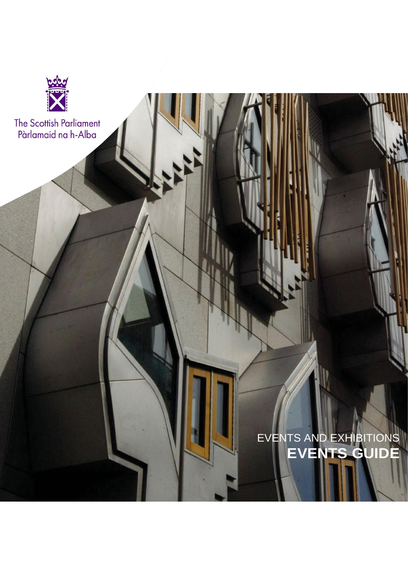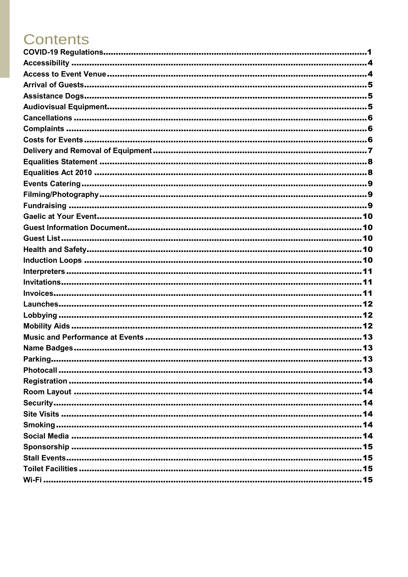# **Contents**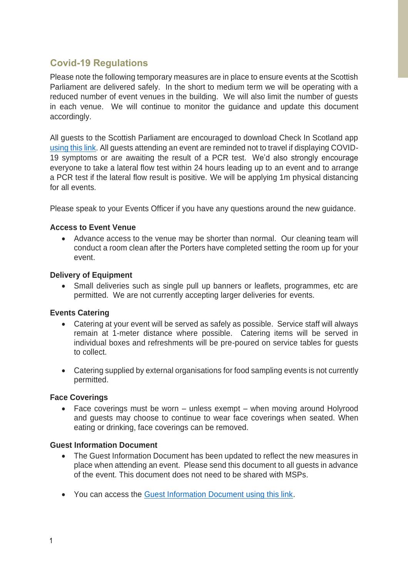#### <span id="page-2-0"></span>**Covid-19 Regulations**

Please note the following temporary measures are in place to ensure events at the Scottish Parliament are delivered safely. In the short to medium term we will be operating with a reduced number of event venues in the building. We will also limit the number of guests in each venue. We will continue to monitor the guidance and update this document accordingly.

All guests to the Scottish Parliament are encouraged to download Check In Scotland app [using this link.](https://www.checkin.scot/) All guests attending an event are reminded not to travel if displaying COVID-19 symptoms or are awaiting the result of a PCR test. We'd also strongly encourage everyone to take a lateral flow test within 24 hours leading up to an event and to arrange a PCR test if the lateral flow result is positive. We will be applying 1m physical distancing for all events.

Please speak to your Events Officer if you have any questions around the new guidance.

#### **Access to Event Venue**

• Advance access to the venue may be shorter than normal. Our cleaning team will conduct a room clean after the Porters have completed setting the room up for your event.

#### **Delivery of Equipment**

Small deliveries such as single pull up banners or leaflets, programmes, etc are permitted. We are not currently accepting larger deliveries for events.

#### **Events Catering**

- Catering at your event will be served as safely as possible. Service staff will always remain at 1-meter distance where possible. Catering items will be served in individual boxes and refreshments will be pre-poured on service tables for guests to collect.
- Catering supplied by external organisations for food sampling events is not currently permitted.

#### **Face Coverings**

Face coverings must be worn  $-$  unless exempt  $-$  when moving around Holyrood and guests may choose to continue to wear face coverings when seated. When eating or drinking, face coverings can be removed.

#### **Guest Information Document**

- The Guest Information Document has been updated to reflect the new measures in place when attending an event. Please send this document to all guests in advance of the event. This document does not need to be shared with MSPs.
- You can access the [Guest Information Document using this link.](https://archive2021.parliament.scot/Eventsandexhibitions/Information_for_Guests_Dec2021.pdf)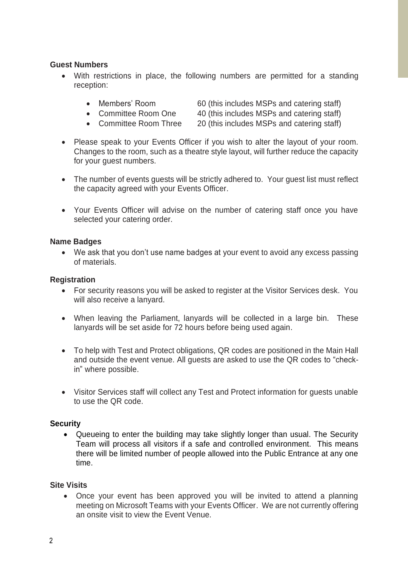#### **Guest Numbers**

- With restrictions in place, the following numbers are permitted for a standing reception:
	-
	- Members' Room 60 (this includes MSPs and catering staff)
	- Committee Room One 40 (this includes MSPs and catering staff)
	- Committee Room Three 20 (this includes MSPs and catering staff)
- Please speak to your Events Officer if you wish to alter the layout of your room. Changes to the room, such as a theatre style layout, will further reduce the capacity for your guest numbers.
- The number of events quests will be strictly adhered to. Your quest list must reflect the capacity agreed with your Events Officer.
- Your Events Officer will advise on the number of catering staff once you have selected your catering order.

#### **Name Badges**

• We ask that you don't use name badges at your event to avoid any excess passing of materials.

#### **Registration**

- For security reasons you will be asked to register at the Visitor Services desk. You will also receive a lanyard.
- When leaving the Parliament, lanyards will be collected in a large bin. These lanyards will be set aside for 72 hours before being used again.
- To help with Test and Protect obligations, QR codes are positioned in the Main Hall and outside the event venue. All guests are asked to use the QR codes to "checkin" where possible.
- Visitor Services staff will collect any Test and Protect information for guests unable to use the QR code.

#### **Security**

• Queueing to enter the building may take slightly longer than usual. The Security Team will process all visitors if a safe and controlled environment. This means there will be limited number of people allowed into the Public Entrance at any one time.

#### **Site Visits**

• Once your event has been approved you will be invited to attend a planning meeting on Microsoft Teams with your Events Officer. We are not currently offering an onsite visit to view the Event Venue.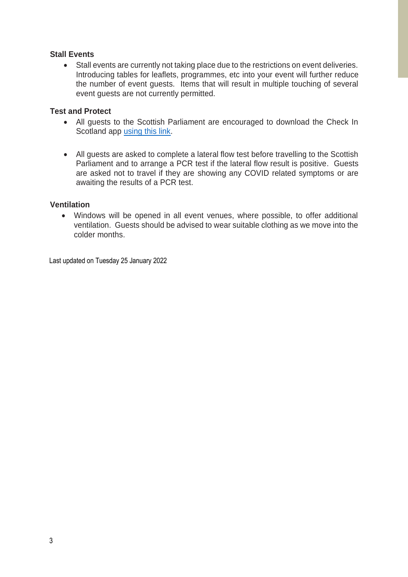#### **Stall Events**

• Stall events are currently not taking place due to the restrictions on event deliveries. Introducing tables for leaflets, programmes, etc into your event will further reduce the number of event guests. Items that will result in multiple touching of several event guests are not currently permitted.

#### **Test and Protect**

- All guests to the Scottish Parliament are encouraged to download the Check In Scotland app [using this link.](https://www.checkin.scot/)
- All guests are asked to complete a lateral flow test before travelling to the Scottish Parliament and to arrange a PCR test if the lateral flow result is positive. Guests are asked not to travel if they are showing any COVID related symptoms or are awaiting the results of a PCR test.

#### **Ventilation**

• Windows will be opened in all event venues, where possible, to offer additional ventilation. Guests should be advised to wear suitable clothing as we move into the colder months.

Last updated on Tuesday 25 January 2022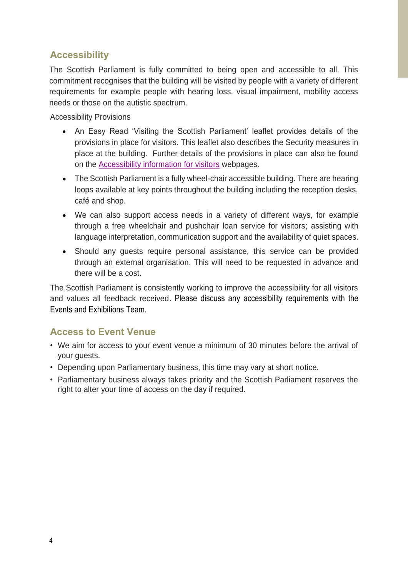## **Accessibility**

The Scottish Parliament is fully committed to being open and accessible to all. This commitment recognises that the building will be visited by people with a variety of different requirements for example people with hearing loss, visual impairment, mobility access needs or those on the autistic spectrum.

Accessibility Provisions

- An Easy Read 'Visiting the Scottish Parliament' leaflet provides details of the provisions in place for visitors. This leaflet also describes the Security measures in place at the building. Further details of the provisions in place can also be found on the [Accessibility information for visitors](http://www.parliament.scot/visitandlearn/12518.aspx) webpages.
- The Scottish Parliament is a fully wheel-chair accessible building. There are hearing loops available at key points throughout the building including the reception desks, café and shop.
- We can also support access needs in a variety of different ways, for example through a free wheelchair and pushchair loan service for visitors; assisting with language interpretation, communication support and the availability of quiet spaces.
- Should any guests require personal assistance, this service can be provided through an external organisation. This will need to be requested in advance and there will be a cost.

The Scottish Parliament is consistently working to improve the accessibility for all visitors and values all feedback received. Please discuss any accessibility requirements with the Events and Exhibitions Team.

## <span id="page-5-0"></span>**Access to Event Venue**

- We aim for access to your event venue a minimum of 30 minutes before the arrival of your guests.
- Depending upon Parliamentary business, this time may vary at short notice.
- Parliamentary business always takes priority and the Scottish Parliament reserves the right to alter your time of access on the day if required.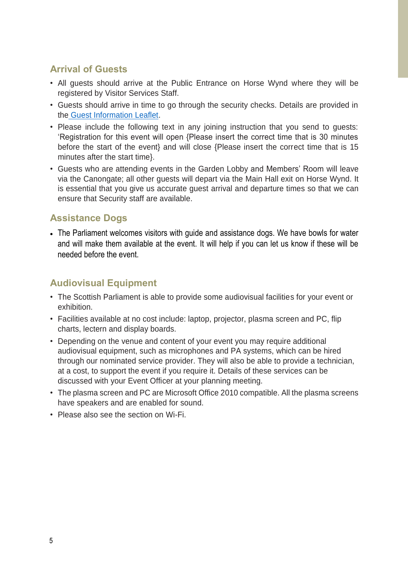## <span id="page-6-0"></span>**Arrival of Guests**

- All guests should arrive at the Public Entrance on Horse Wynd where they will be registered by Visitor Services Staff.
- Guests should arrive in time to go through the security checks. Details are provided in the [Guest Information](https://archive2021.parliament.scot/Eventsandexhibitions/Information_for_Guests_Dec2021.pdf) Leaflet.
- Please include the following text in any joining instruction that you send to guests: 'Registration for this event will open {Please insert the correct time that is 30 minutes before the start of the event} and will close {Please insert the correct time that is 15 minutes after the start time}.
- Guests who are attending events in the Garden Lobby and Members' Room will leave via the Canongate; all other guests will depart via the Main Hall exit on [Horse Wynd.](http://www.streetmap.co.uk/map.srf?x=326787&y=673870&z=1&sv=326787) It is essential that you give us accurate guest arrival and departure times so that we can ensure that Security staff are available.

#### <span id="page-6-1"></span>**Assistance Dogs**

• The Parliament welcomes visitors with guide and assistance dogs. We have bowls for water and will make them available at the event. It will help if you can let us know if these will be needed before the event.

## <span id="page-6-2"></span>**Audiovisual Equipment**

- The Scottish Parliament is able to provide some audiovisual facilities for your event or exhibition.
- Facilities available at no cost include: laptop, projector, plasma screen and PC, flip charts, lectern and display boards.
- Depending on the venue and content of your event you may require additional audiovisual equipment, such as microphones and PA systems, which can be hired through our nominated service provider. They will also be able to provide a technician, at a cost, to support the event if you require it. Details of these services can be discussed with your Event Officer at your planning meeting.
- The plasma screen and PC are Microsoft Office 2010 compatible. All the plasma screens have speakers and are enabled for sound.
- Please also see the section on Wi-Fi.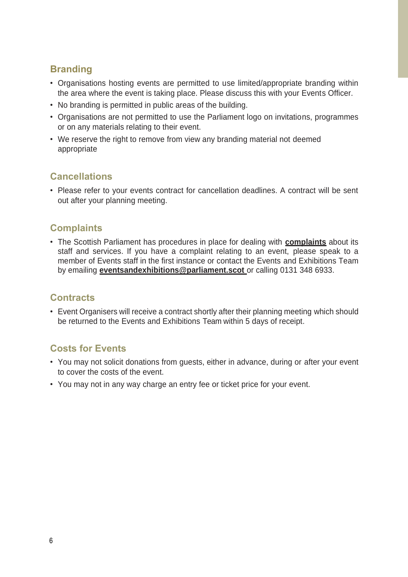## **Branding**

- Organisations hosting events are permitted to use limited/appropriate branding within the area where the event is taking place. Please discuss this with your Events Officer.
- No branding is permitted in public areas of the building.
- Organisations are not permitted to use the Parliament logo on invitations, programmes or on any materials relating to their event.
- We reserve the right to remove from view any branding material not deemed appropriate

## <span id="page-7-0"></span>**Cancellations**

• Please refer to your events contract for cancellation deadlines. A contract will be sent out after your planning meeting.

## <span id="page-7-1"></span>**Complaints**

• The Scottish Parliament has procedures in place for dealing with **[complaints](https://www.parliament.scot/about/complaints)** about its staff and services. If you have a complaint relating to an event, please speak to a member of Events staff in the first instance or contact the Events and Exhibitions Team by emailing **[eventsandexhibitions@parliament.scot](mailto:eventsandexhibitions@parliament.scot)** or calling 0131 348 6933.

## **Contracts**

• Event Organisers will receive a contract shortly after their planning meeting which should be returned to the Events and Exhibitions Team within 5 days of receipt.

## <span id="page-7-2"></span>**Costs for Events**

- You may not solicit donations from guests, either in advance, during or after your event to cover the costs of the event.
- You may not in any way charge an entry fee or ticket price for your event.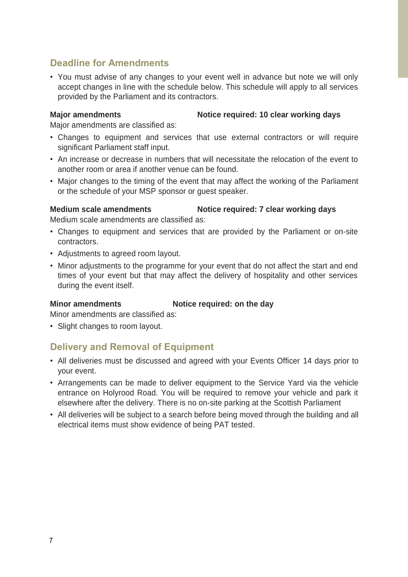#### **Deadline for Amendments**

• You must advise of any changes to your event well in advance but note we will only accept changes in line with the schedule below. This schedule will apply to all services provided by the Parliament and its contractors.

#### **Major amendments Notice required: 10 clear working days**

Major amendments are classified as:

- Changes to equipment and services that use external contractors or will require significant Parliament staff input.
- An increase or decrease in numbers that will necessitate the relocation of the event to another room or area if another venue can be found.
- Major changes to the timing of the event that may affect the working of the Parliament or the schedule of your MSP sponsor or guest speaker.

**Medium scale amendments Notice required: 7 clear working days**

Medium scale amendments are classified as:

- Changes to equipment and services that are provided by the Parliament or on-site contractors.
- Adjustments to agreed room layout.
- Minor adjustments to the programme for your event that do not affect the start and end times of your event but that may affect the delivery of hospitality and other services during the event itself.

#### **Minor amendments Notice required: on the day**

Minor amendments are classified as:

• Slight changes to room layout.

#### <span id="page-8-0"></span>**Delivery and Removal of Equipment**

- All deliveries must be discussed and agreed with your Events Officer 14 days prior to your event.
- Arrangements can be made to deliver equipment to the Service Yard via the vehicle entrance on Holyrood Road. You will be required to remove your vehicle and park it elsewhere after the delivery. There is no on-site parking at the Scottish Parliament
- All deliveries will be subject to a search before being moved through the building and all electrical items must show evidence of being PAT tested.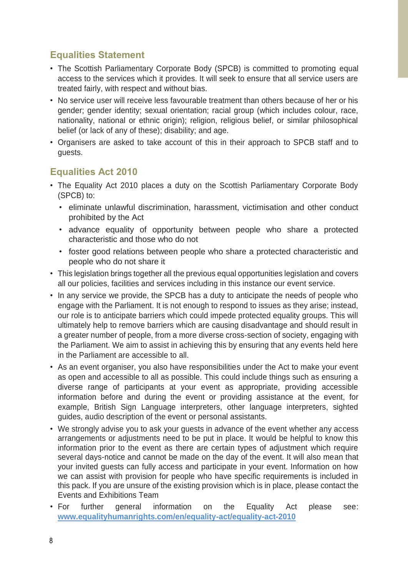## <span id="page-9-0"></span>**Equalities Statement**

- The Scottish Parliamentary Corporate Body (SPCB) is committed to promoting equal access to the services which it provides. It will seek to ensure that all service users are treated fairly, with respect and without bias.
- No service user will receive less favourable treatment than others because of her or his gender; gender identity; sexual orientation; racial group (which includes colour, race, nationality, national or ethnic origin); religion, religious belief, or similar philosophical belief (or lack of any of these); disability; and age.
- Organisers are asked to take account of this in their approach to SPCB staff and to guests.

## <span id="page-9-1"></span>**Equalities Act 2010**

- The Equality Act 2010 places a duty on the Scottish Parliamentary Corporate Body (SPCB) to:
	- eliminate unlawful discrimination, harassment, victimisation and other conduct prohibited by the Act
	- advance equality of opportunity between people who share a protected characteristic and those who do not
	- foster good relations between people who share a protected characteristic and people who do not share it
- This legislation brings together all the previous equal opportunities legislation and covers all our policies, facilities and services including in this instance our event service.
- In any service we provide, the SPCB has a duty to anticipate the needs of people who engage with the Parliament. It is not enough to respond to issues as they arise; instead, our role is to anticipate barriers which could impede protected equality groups. This will ultimately help to remove barriers which are causing disadvantage and should result in a greater number of people, from a more diverse cross-section of society, engaging with the Parliament. We aim to assist in achieving this by ensuring that any events held here in the Parliament are accessible to all.
- As an event organiser, you also have responsibilities under the Act to make your event as open and accessible to all as possible. This could include things such as ensuring a diverse range of participants at your event as appropriate, providing accessible information before and during the event or providing assistance at the event, for example, British Sign Language interpreters, other language interpreters, sighted guides, audio description of the event or personal assistants.
- We strongly advise you to ask your guests in advance of the event whether any access arrangements or adjustments need to be put in place. It would be helpful to know this information prior to the event as there are certain types of adjustment which require several days-notice and cannot be made on the day of the event. It will also mean that your invited guests can fully access and participate in your event. Information on how we can assist with provision for people who have specific requirements is included in this pack. If you are unsure of the existing provision which is in place, please contact the Events and Exhibitions Team
- For further general information on the Equality Act please see: **[www.equalityhumanrights.com/en/equality-act/equality-act-2010](http://www.equalityhumanrights.com/en/equality-act/equality-act-2010)**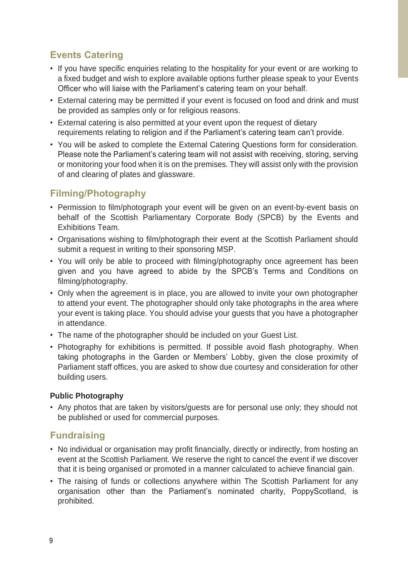## <span id="page-10-0"></span>**Events Catering**

- If you have specific enquiries relating to the hospitality for your event or are working to a fixed budget and wish to explore available options further please speak to your Events Officer who will liaise with the Parliament's catering team on your behalf.
- External catering may be permitted if your event is focused on food and drink and must be provided as samples only or for religious reasons.
- External catering is also permitted at your event upon the request of dietary requirements relating to religion and if the Parliament's catering team can't provide.
- You will be asked to complete the External Catering Questions form for consideration. Please note the Parliament's catering team will not assist with receiving, storing, serving or monitoring your food when it is on the premises. They will assist only with the provision of and clearing of plates and glassware.

## <span id="page-10-1"></span>**Filming/Photography**

- Permission to film/photograph your event will be given on an event-by-event basis on behalf of the Scottish Parliamentary Corporate Body (SPCB) by the Events and Exhibitions Team.
- Organisations wishing to film/photograph their event at the Scottish Parliament should submit a request in writing to their sponsoring MSP.
- You will only be able to proceed with filming/photography once agreement has been given and you have agreed to abide by the SPCB's Terms and Conditions on filming/photography.
- Only when the agreement is in place, you are allowed to invite your own photographer to attend your event. The photographer should only take photographs in the area where your event is taking place. You should advise your guests that you have a photographer in attendance.
- The name of the photographer should be included on your Guest List.
- Photography for exhibitions is permitted. If possible avoid flash photography. When taking photographs in the Garden or Members' Lobby, given the close proximity of Parliament staff offices, you are asked to show due courtesy and consideration for other building users.

#### **Public Photography**

• Any photos that are taken by visitors/guests are for personal use only; they should not be published or used for commercial purposes.

## <span id="page-10-2"></span>**Fundraising**

- No individual or organisation may profit financially, directly or indirectly, from hosting an event at the Scottish Parliament. We reserve the right to cancel the event if we discover that it is being organised or promoted in a manner calculated to achieve financial gain.
- <span id="page-10-3"></span>• The raising of funds or collections anywhere within The Scottish Parliament for any organisation other than the Parliament's nominated charity, PoppyScotland, is prohibited.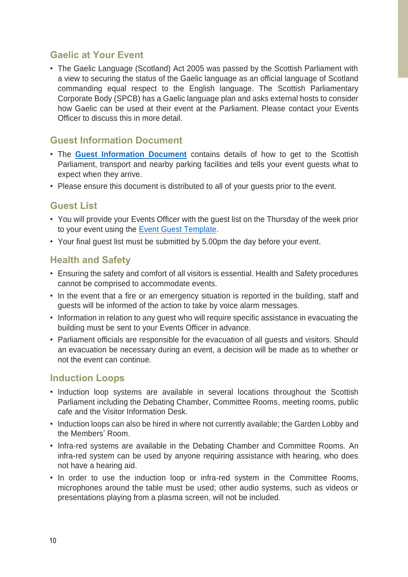#### **Gaelic at Your Event**

• The Gaelic Language (Scotland) Act 2005 was passed by the Scottish Parliament with a view to securing the status of the Gaelic language as an official language of Scotland commanding equal respect to the English language. The Scottish Parliamentary Corporate Body (SPCB) has a Gaelic language plan and asks external hosts to consider how Gaelic can be used at their event at the Parliament. Please contact your Events Officer to discuss this in more detail.

#### <span id="page-11-0"></span>**Guest Information Document**

- The **[Guest Information Document](https://archive2021.parliament.scot/Eventsandexhibitions/Information_for_Guests_Dec2021.pdf)** contains details of how to get to the Scottish Parliament, transport and nearby parking facilities and tells your event guests what to expect when they arrive.
- Please ensure this document is distributed to all of your guests prior to the event.

#### <span id="page-11-1"></span>**Guest List**

- You will provide your Events Officer with the guest list on the Thursday of the week prior to your event using the [Event Guest Template.](https://archive2021.parliament.scot/Eventsandexhibitions/Guest_List_TemplateOct2021.xlsx)
- Your final guest list must be submitted by 5.00pm the day before your event.

#### <span id="page-11-2"></span>**Health and Safety**

- Ensuring the safety and comfort of all visitors is essential. Health and Safety procedures cannot be comprised to accommodate events.
- In the event that a fire or an emergency situation is reported in the building, staff and guests will be informed of the action to take by voice alarm messages.
- Information in relation to any guest who will require specific assistance in evacuating the building must be sent to your Events Officer in advance.
- Parliament officials are responsible for the evacuation of all guests and visitors. Should an evacuation be necessary during an event, a decision will be made as to whether or not the event can continue.

#### <span id="page-11-3"></span>**Induction Loops**

- Induction loop systems are available in several locations throughout the Scottish Parliament including the Debating Chamber, Committee Rooms, meeting rooms, public cafe and the Visitor Information Desk.
- Induction loops can also be hired in where not currently available; the Garden Lobby and the Members' Room.
- Infra-red systems are available in the Debating Chamber and Committee Rooms. An infra-red system can be used by anyone requiring assistance with hearing, who does not have a hearing aid.
- In order to use the induction loop or infra-red system in the Committee Rooms, microphones around the table must be used; other audio systems, such as videos or presentations playing from a plasma screen, will not be included.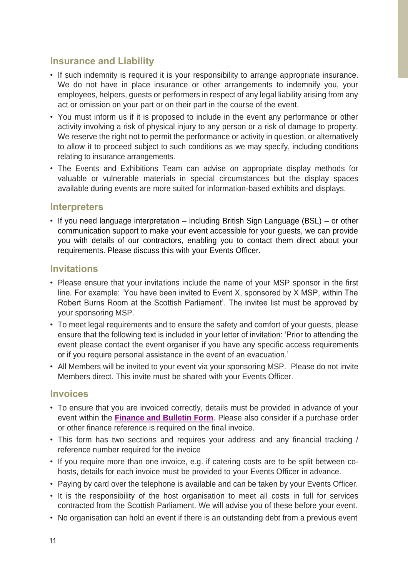#### **Insurance and Liability**

- If such indemnity is required it is your responsibility to arrange appropriate insurance. We do not have in place insurance or other arrangements to indemnify you, your employees, helpers, guests or performers in respect of any legal liability arising from any act or omission on your part or on their part in the course of the event.
- You must inform us if it is proposed to include in the event any performance or other activity involving a risk of physical injury to any person or a risk of damage to property. We reserve the right not to permit the performance or activity in question, or alternatively to allow it to proceed subject to such conditions as we may specify, including conditions relating to insurance arrangements.
- The Events and Exhibitions Team can advise on appropriate display methods for valuable or vulnerable materials in special circumstances but the display spaces available during events are more suited for information-based exhibits and displays.

#### <span id="page-12-0"></span>**Interpreters**

• If you need language interpretation – including British Sign Language (BSL) – or other communication support to make your event accessible for your guests, we can provide you with details of our contractors, enabling you to contact them direct about your requirements. Please discuss this with your Events Officer.

#### <span id="page-12-1"></span>**Invitations**

- Please ensure that your invitations include the name of your MSP sponsor in the first line. For example: 'You have been invited to Event X, sponsored by X MSP, within The Robert Burns Room at the Scottish Parliament'. The invitee list must be approved by your sponsoring MSP.
- To meet legal requirements and to ensure the safety and comfort of your guests, please ensure that the following text is included in your letter of invitation: 'Prior to attending the event please contact the event organiser if you have any specific access requirements or if you require personal assistance in the event of an evacuation.'
- All Members will be invited to your event via your sponsoring MSP. Please do not invite Members direct. This invite must be shared with your Events Officer.

#### <span id="page-12-2"></span>**Invoices**

- To ensure that you are invoiced correctly, details must be provided in advance of your event within the **[Finance and Bulletin Form](https://archive2021.parliament.scot/Eventsandexhibitions/Finance_and_Bulletin_Information_2020.doc)**. Please also consider if a purchase order or other finance reference is required on the final invoice.
- This form has two sections and requires your address and any financial tracking / reference number required for the invoice
- If you require more than one invoice, e.g. if catering costs are to be split between cohosts, details for each invoice must be provided to your Events Officer in advance.
- Paying by card over the telephone is available and can be taken by your Events Officer.
- It is the responsibility of the host organisation to meet all costs in full for services contracted from the Scottish Parliament. We will advise you of these before your event.
- No organisation can hold an event if there is an outstanding debt from a previous event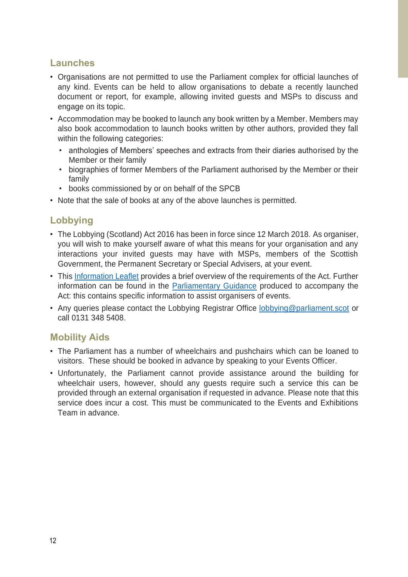#### <span id="page-13-0"></span>**Launches**

- Organisations are not permitted to use the Parliament complex for official launches of any kind. Events can be held to allow organisations to debate a recently launched document or report, for example, allowing invited guests and MSPs to discuss and engage on its topic.
- Accommodation may be booked to launch any book written by a Member. Members may also book accommodation to launch books written by other authors, provided they fall within the following categories:
	- anthologies of Members' speeches and extracts from their diaries authorised by the Member or their family
	- biographies of former Members of the Parliament authorised by the Member or their family
	- books commissioned by or on behalf of the SPCB
- Note that the sale of books at any of the above launches is permitted.

## <span id="page-13-1"></span>**Lobbying**

- The Lobbying (Scotland) Act 2016 has been in force since 12 March 2018. As organiser, you will wish to make yourself aware of what this means for your organisation and any interactions your invited guests may have with MSPs, members of the Scottish Government, the Permanent Secretary or Special Advisers, at your event.
- This [Information Leaflet](https://www.parliament.scot/-/media/files/Lobbying/Booklet.pdf) provides a brief overview of the requirements of the Act. Further information can be found in the [Parliamentary Guidance](https://www.lobbying.scot/SPS/Home/Help) produced to accompany the Act: this contains specific information to assist organisers of events.
- Any queries please contact the Lobbying Registrar Office [lobbying@parliament.scot](mailto:lobbying@parliament.scot) or call 0131 348 5408.

## <span id="page-13-2"></span>**Mobility Aids**

- The Parliament has a number of wheelchairs and pushchairs which can be loaned to visitors. These should be booked in advance by speaking to your Events Officer.
- Unfortunately, the Parliament cannot provide assistance around the building for wheelchair users, however, should any guests require such a service this can be provided through an external organisation if requested in advance. Please note that this service does incur a cost. This must be communicated to the Events and Exhibitions Team in advance.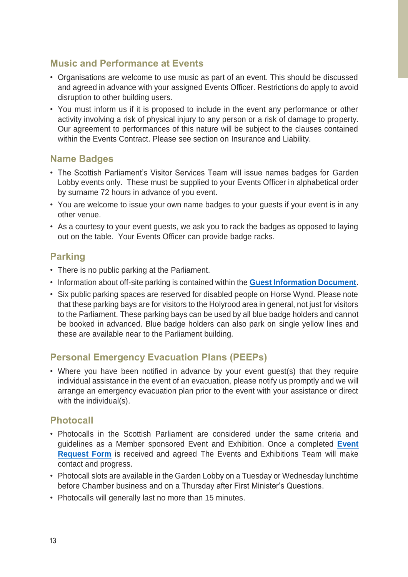#### <span id="page-14-0"></span>**Music and Performance at Events**

- Organisations are welcome to use music as part of an event. This should be discussed and agreed in advance with your assigned Events Officer. Restrictions do apply to avoid disruption to other building users.
- You must inform us if it is proposed to include in the event any performance or other activity involving a risk of physical injury to any person or a risk of damage to property. Our agreement to performances of this nature will be subject to the clauses contained within the Events Contract. Please see section on Insurance and Liability.

#### <span id="page-14-1"></span>**Name Badges**

- The Scottish Parliament's Visitor Services Team will issue names badges for Garden Lobby events only. These must be supplied to your Events Officer in alphabetical order by surname 72 hours in advance of you event.
- You are welcome to issue your own name badges to your guests if your event is in any other venue.
- As a courtesy to your event guests, we ask you to rack the badges as opposed to laying out on the table. Your Events Officer can provide badge racks.

#### <span id="page-14-2"></span>**Parking**

- There is no public parking at the Parliament.
- Information about off-site parking is contained within the **[Guest Information Document](https://archive2021.parliament.scot/Eventsandexhibitions/Information_for_Guests_Dec2021.pdf)**.
- Six public parking spaces are reserved for disabled people on Horse Wynd. Please note that these parking bays are for visitors to the Holyrood area in general, not just for visitors to the Parliament. These parking bays can be used by all blue badge holders and cannot be booked in advanced. Blue badge holders can also park on single yellow lines and these are available near to the Parliament building.

## **Personal Emergency Evacuation Plans (PEEPs)**

• Where you have been notified in advance by your event guest(s) that they require individual assistance in the event of an evacuation, please notify us promptly and we will arrange an emergency evacuation plan prior to the event with your assistance or direct with the individual(s).

#### <span id="page-14-3"></span>**Photocall**

- Photocalls in the Scottish Parliament are considered under the same criteria and guidelines as a Member sponsored Event and Exhibition. Once a completed **[Event](https://www.parliament.scot/-/media/files/events/accessible-events-request-form.docx)  [Request Form](https://www.parliament.scot/-/media/files/events/accessible-events-request-form.docx)** is received and agreed The Events and Exhibitions Team will make contact and progress.
- Photocall slots are available in the Garden Lobby on a Tuesday or Wednesday lunchtime before Chamber business and on a Thursday after First Minister's Questions.
- Photocalls will generally last no more than 15 minutes.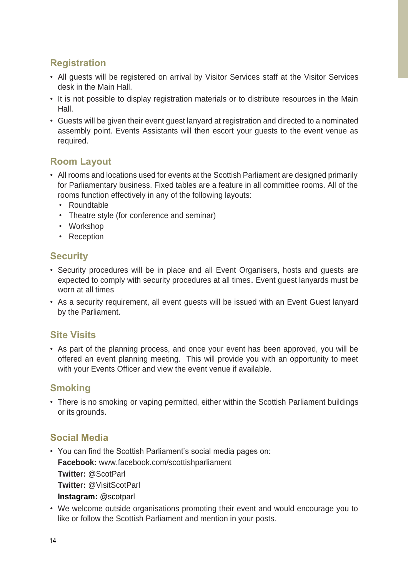## <span id="page-15-0"></span>**Registration**

- All guests will be registered on arrival by Visitor Services staff at the Visitor Services desk in the Main Hall.
- It is not possible to display registration materials or to distribute resources in the Main Hall.
- Guests will be given their event guest lanyard at registration and directed to a nominated assembly point. Events Assistants will then escort your guests to the event venue as required.

## <span id="page-15-1"></span>**Room Layout**

- All rooms and locations used for events at the Scottish Parliament are designed primarily for Parliamentary business. Fixed tables are a feature in all committee rooms. All of the rooms function effectively in any of the following layouts:
	- Roundtable
	- Theatre style (for conference and seminar)
	- Workshop
	- Reception

#### <span id="page-15-2"></span>**Security**

- Security procedures will be in place and all Event Organisers, hosts and guests are expected to comply with security procedures at all times. Event guest lanyards must be worn at all times
- As a security requirement, all event guests will be issued with an Event Guest lanyard by the Parliament.

## <span id="page-15-3"></span>**Site Visits**

• As part of the planning process, and once your event has been approved, you will be offered an event planning meeting. This will provide you with an opportunity to meet with your Events Officer and view the event venue if available.

#### <span id="page-15-4"></span>**Smoking**

• There is no smoking or vaping permitted, either within the Scottish Parliament buildings or its grounds.

## <span id="page-15-5"></span>**Social Media**

- You can find the Scottish Parliament's social media pages on: **Facebook:** [www.facebook.com/scottishparliament](http://www.facebook.com/scottishparliament) **Twitter:** [@ScotParl](http://twitter.com/ScotParl) **Twitter:** @VisitScotParl **Instagram:** @scotparl
- We welcome outside organisations promoting their event and would encourage you to like or follow the Scottish Parliament and mention in your posts.